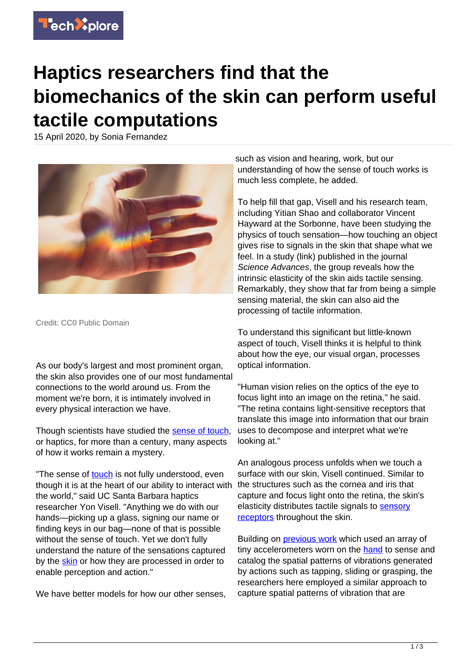

## **Haptics researchers find that the biomechanics of the skin can perform useful tactile computations**

15 April 2020, by Sonia Fernandez



Credit: CC0 Public Domain

As our body's largest and most prominent organ, the skin also provides one of our most fundamental connections to the world around us. From the moment we're born, it is intimately involved in every physical interaction we have.

Though scientists have studied the [sense of touch](https://techxplore.com/tags/sense+of+touch/), or haptics, for more than a century, many aspects of how it works remain a mystery.

"The sense of [touch](https://techxplore.com/tags/touch/) is not fully understood, even though it is at the heart of our ability to interact with the world," said UC Santa Barbara haptics researcher Yon Visell. "Anything we do with our hands—picking up a glass, signing our name or finding keys in our bag—none of that is possible without the sense of touch. Yet we don't fully understand the nature of the sensations captured by the [skin](https://techxplore.com/tags/skin/) or how they are processed in order to enable perception and action."

We have better models for how our other senses.

such as vision and hearing, work, but our understanding of how the sense of touch works is much less complete, he added.

To help fill that gap, Visell and his research team, including Yitian Shao and collaborator Vincent Hayward at the Sorbonne, have been studying the physics of touch sensation—how touching an object gives rise to signals in the skin that shape what we feel. In a study (link) published in the journal Science Advances, the group reveals how the intrinsic elasticity of the skin aids tactile sensing. Remarkably, they show that far from being a simple sensing material, the skin can also aid the processing of tactile information.

To understand this significant but little-known aspect of touch, Visell thinks it is helpful to think about how the eye, our visual organ, processes optical information.

"Human vision relies on the optics of the eye to focus light into an image on the retina," he said. "The retina contains light-sensitive receptors that translate this image into information that our brain uses to decompose and interpret what we're looking at."

An analogous process unfolds when we touch a surface with our skin, Visell continued. Similar to the structures such as the cornea and iris that capture and focus light onto the retina, the skin's elasticity distributes tactile signals to [sensory](https://techxplore.com/tags/sensory+receptors/) [receptors](https://techxplore.com/tags/sensory+receptors/) throughout the skin.

Building on **previous work** which used an array of tiny accelerometers worn on the [hand](https://techxplore.com/tags/hand/) to sense and catalog the spatial patterns of vibrations generated by actions such as tapping, sliding or grasping, the researchers here employed a similar approach to capture spatial patterns of vibration that are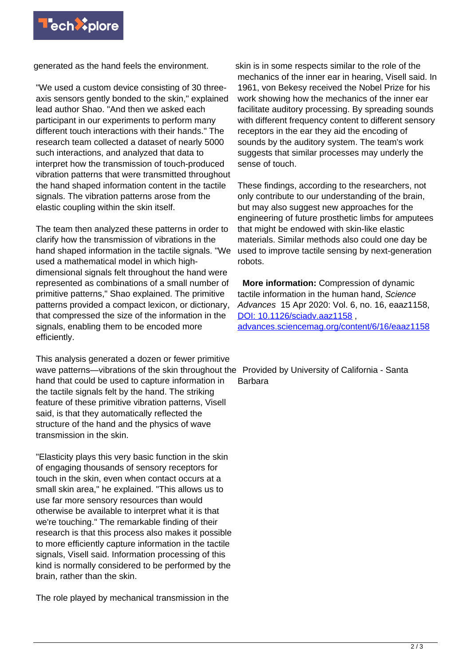

generated as the hand feels the environment.

"We used a custom device consisting of 30 threeaxis sensors gently bonded to the skin," explained lead author Shao. "And then we asked each participant in our experiments to perform many different touch interactions with their hands." The research team collected a dataset of nearly 5000 such interactions, and analyzed that data to interpret how the transmission of touch-produced vibration patterns that were transmitted throughout the hand shaped information content in the tactile signals. The vibration patterns arose from the elastic coupling within the skin itself.

The team then analyzed these patterns in order to clarify how the transmission of vibrations in the hand shaped information in the tactile signals. "We used a mathematical model in which highdimensional signals felt throughout the hand were represented as combinations of a small number of primitive patterns," Shao explained. The primitive patterns provided a compact lexicon, or dictionary, that compressed the size of the information in the signals, enabling them to be encoded more efficiently.

This analysis generated a dozen or fewer primitive wave patterns—vibrations of the skin throughout the Provided by University of California - Santa hand that could be used to capture information in the tactile signals felt by the hand. The striking feature of these primitive vibration patterns, Visell said, is that they automatically reflected the structure of the hand and the physics of wave transmission in the skin.

"Elasticity plays this very basic function in the skin of engaging thousands of sensory receptors for touch in the skin, even when contact occurs at a small skin area," he explained. "This allows us to use far more sensory resources than would otherwise be available to interpret what it is that we're touching." The remarkable finding of their research is that this process also makes it possible to more efficiently capture information in the tactile signals, Visell said. Information processing of this kind is normally considered to be performed by the brain, rather than the skin.

The role played by mechanical transmission in the

skin is in some respects similar to the role of the mechanics of the inner ear in hearing, Visell said. In 1961, von Bekesy received the Nobel Prize for his work showing how the mechanics of the inner ear facilitate auditory processing. By spreading sounds with different frequency content to different sensory receptors in the ear they aid the encoding of sounds by the auditory system. The team's work suggests that similar processes may underly the sense of touch.

These findings, according to the researchers, not only contribute to our understanding of the brain, but may also suggest new approaches for the engineering of future prosthetic limbs for amputees that might be endowed with skin-like elastic materials. Similar methods also could one day be used to improve tactile sensing by next-generation robots.

 **More information:** Compression of dynamic tactile information in the human hand, Science Advances 15 Apr 2020: Vol. 6, no. 16, eaaz1158, [DOI: 10.1126/sciadv.aaz1158](http://dx.doi.org/10.1126/sciadv.aaz1158) , [advances.sciencemag.org/content/6/16/eaaz1158](https://advances.sciencemag.org/content/6/16/eaaz1158)

Barbara